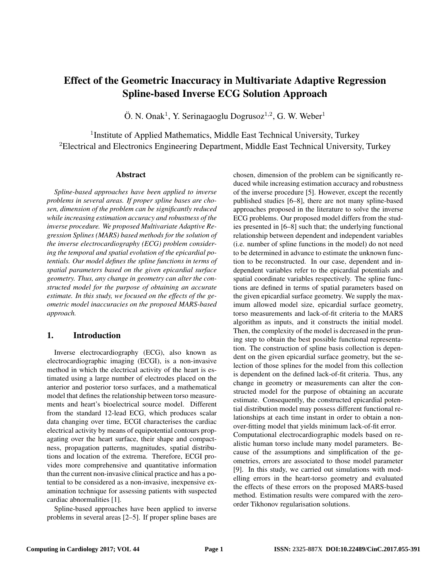# Effect of the Geometric Inaccuracy in Multivariate Adaptive Regression Spline-based Inverse ECG Solution Approach

Ö. N. Onak<sup>1</sup>, Y. Serinagaoglu Dogrusoz<sup>1,2</sup>, G. W. Weber<sup>1</sup>

<sup>1</sup> Institute of Applied Mathematics, Middle East Technical University, Turkey <sup>2</sup>Electrical and Electronics Engineering Department, Middle East Technical University, Turkey

#### Abstract

*Spline-based approaches have been applied to inverse problems in several areas. If proper spline bases are chosen, dimension of the problem can be significantly reduced while increasing estimation accuracy and robustness of the inverse procedure. We proposed Multivariate Adaptive Regression Splines (MARS) based methods for the solution of the inverse electrocardiography (ECG) problem considering the temporal and spatial evolution of the epicardial potentials. Our model defines the spline functions in terms of spatial parameters based on the given epicardial surface geometry. Thus, any change in geometry can alter the constructed model for the purpose of obtaining an accurate estimate. In this study, we focused on the effects of the geometric model inaccuracies on the proposed MARS-based approach.*

# 1. Introduction

Inverse electrocardiography (ECG), also known as electrocardiographic imaging (ECGI), is a non-invasive method in which the electrical activity of the heart is estimated using a large number of electrodes placed on the anterior and posterior torso surfaces, and a mathematical model that defines the relationship between torso measurements and heart's bioelectrical source model. Different from the standard 12-lead ECG, which produces scalar data changing over time, ECGI characterises the cardiac electrical activity by means of equipotential contours propagating over the heart surface, their shape and compactness, propagation patterns, magnitudes, spatial distributions and location of the extrema. Therefore, ECGI provides more comprehensive and quantitative information than the current non-invasive clinical practice and has a potential to be considered as a non-invasive, inexpensive examination technique for assessing patients with suspected cardiac abnormalities [1].

Spline-based approaches have been applied to inverse problems in several areas [2–5]. If proper spline bases are chosen, dimension of the problem can be significantly reduced while increasing estimation accuracy and robustness of the inverse procedure [5]. However, except the recently published studies [6–8], there are not many spline-based approaches proposed in the literature to solve the inverse ECG problems. Our proposed model differs from the studies presented in [6–8] such that; the underlying functional relationship between dependent and independent variables (i.e. number of spline functions in the model) do not need to be determined in advance to estimate the unknown function to be reconstructed. In our case, dependent and independent variables refer to the epicardial potentials and spatial coordinate variables respectively. The spline functions are defined in terms of spatial parameters based on the given epicardial surface geometry. We supply the maximum allowed model size, epicardial surface geometry, torso measurements and lack-of-fit criteria to the MARS algorithm as inputs, and it constructs the initial model. Then, the complexity of the model is decreased in the pruning step to obtain the best possible functional representation. The construction of spline basis collection is dependent on the given epicardial surface geometry, but the selection of those splines for the model from this collection is dependent on the defined lack-of-fit criteria. Thus, any change in geometry or measurements can alter the constructed model for the purpose of obtaining an accurate estimate. Consequently, the constructed epicardial potential distribution model may possess different functional relationships at each time instant in order to obtain a nonover-fitting model that yields minimum lack-of-fit error. Computational electrocardiographic models based on realistic human torso include many model parameters. Because of the assumptions and simplification of the geometries, errors are associated to those model parameter [9]. In this study, we carried out simulations with modelling errors in the heart-torso geometry and evaluated the effects of these errors on the proposed MARS-based method. Estimation results were compared with the zeroorder Tikhonov regularisation solutions.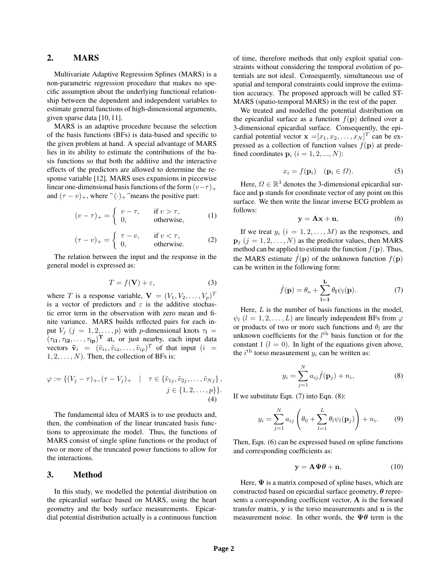#### 2. MARS

Multivariate Adaptive Regression Splines (MARS) is a non-parametric regression procedure that makes no specific assumption about the underlying functional relationship between the dependent and independent variables to estimate general functions of high-dimensional arguments, given sparse data [10, 11].

MARS is an adaptive procedure because the selection of the basis functions (BFs) is data-based and specific to the given problem at hand. A special advantage of MARS lies in its ability to estimate the contributions of the basis functions so that both the additive and the interactive effects of the predictors are allowed to determine the response variable [12]. MARS uses expansions in piecewise linear one-dimensional basis functions of the form  $(v-\tau)_+$ and  $(\tau - v)_+$ , where  $\hat{ }(\cdot)_+$  "means the positive part:

$$
(v - \tau)_+ = \begin{cases} v - \tau, & \text{if } v > \tau, \\ 0, & \text{otherwise,} \end{cases}
$$
 (1)

$$
(\tau - v)_+ = \begin{cases} \tau - v, & \text{if } v < \tau, \\ 0, & \text{otherwise.} \end{cases} \tag{2}
$$

The relation between the input and the response in the general model is expressed as:

$$
T = f(\mathbf{V}) + \varepsilon,\tag{3}
$$

where T is a response variable,  $\mathbf{V} = (V_1, V_2, \dots, V_p)^T$ is a vector of predictors and  $\varepsilon$  is the additive stochastic error term in the observation with zero mean and finite variance. MARS builds reflected pairs for each input  $V_j$   $(j = 1, 2, \ldots, p)$  with p-dimensional knots  $\tau_i$  =  $(\tau_{i1}, \tau_{i2}, \dots, \tau_{ip})^T$  at, or just nearby, each input data vectors  $\tilde{\mathbf{v}}_i = (\tilde{v}_{i_1}, \tilde{v}_{i_2}, \dots, \tilde{v}_{ip})^T$  of that input  $(i =$  $1, 2, \ldots, N$ ). Then, the collection of BFs is:

$$
\varphi := \{ (V_j - \tau)_+, (\tau - V_j)_+ \mid \tau \in \{ \tilde{v}_{1j}, \tilde{v}_{2j}, \dots, \tilde{v}_{Nj} \}, \nj \in \{1, 2, \dots, p \} \}.
$$
\n(4)

The fundamental idea of MARS is to use products and, then, the combination of the linear truncated basis functions to approximate the model. Thus, the functions of MARS consist of single spline functions or the product of two or more of the truncated power functions to allow for the interactions.

#### 3. Method

In this study, we modelled the potential distribution on the epicardial surface based on MARS, using the heart geometry and the body surface measurements. Epicardial potential distribution actually is a continuous function

of time, therefore methods that only exploit spatial constraints without considering the temporal evolution of potentials are not ideal. Consequently, simultaneous use of spatial and temporal constraints could improve the estimation accuracy. The proposed approach will be called ST-MARS (spatio-temporal MARS) in the rest of the paper.

We treated and modelled the potential distribution on the epicardial surface as a function  $f(\mathbf{p})$  defined over a 3-dimensional epicardial surface. Consequently, the epicardial potential vector  $\mathbf{x} = [x_1, x_2, \dots, x_N]^T$  can be expressed as a collection of function values  $f(\mathbf{p})$  at predefined coordinates  $\mathbf{p}_i$   $(i = 1, 2, ..., N)$ :

$$
x_i = f(\mathbf{p}_i) \quad (\mathbf{p}_i \in \Omega). \tag{5}
$$

Here,  $\Omega \in \mathbb{R}^3$  denotes the 3-dimensional epicardial surface and p stands for coordinate vector of any point on this surface. We then write the linear inverse ECG problem as follows:

$$
y = Ax + n,\tag{6}
$$

If we treat  $y_i$   $(i = 1, 2, \ldots, M)$  as the responses, and  $\mathbf{p}_j$   $(j = 1, 2, \dots, N)$  as the predictor values, then MARS method can be applied to estimate the function  $f(\mathbf{p})$ . Thus, the MARS estimate  $\hat{f}(\mathbf{p})$  of the unknown function  $f(\mathbf{p})$ can be written in the following form:

$$
\hat{f}(\mathbf{p}) = \theta_{\rm o} + \sum_{l=1}^{\mathbf{L}} \theta_{l} \psi_{l}(\mathbf{p}). \tag{7}
$$

Here,  $L$  is the number of basis functions in the model,  $\psi_l$   $(l = 1, 2, \ldots, L)$  are linearly independent BFs from  $\varphi$ or products of two or more such functions and  $\theta_l$  are the unknown coefficients for the  $l<sup>th</sup>$  basis function or for the constant 1 ( $l = 0$ ). In light of the equations given above, the  $i^{\text{th}}$  torso measurement  $y_i$  can be written as:

$$
y_i = \sum_{j=1}^{N} a_{ij} \hat{f}(\mathbf{p}_j) + n_i,
$$
 (8)

If we substitute Eqn. (7) into Eqn. (8):

$$
y_i = \sum_{j=1}^N a_{ij} \left( \theta_0 + \sum_{l=1}^L \theta_l \psi_l(\mathbf{p}_j) \right) + n_i.
$$
 (9)

Then, Eqn. (6) can be expressed based on spline functions and corresponding coefficients as:

$$
y = A \Psi \theta + n,\tag{10}
$$

Here,  $\Psi$  is a matrix composed of spline bases, which are constructed based on epicardial surface geometry,  $\theta$  represents a corresponding coefficient vector, A is the forward transfer matrix, y is the torso measurements and n is the measurement noise. In other words, the  $\Psi\theta$  term is the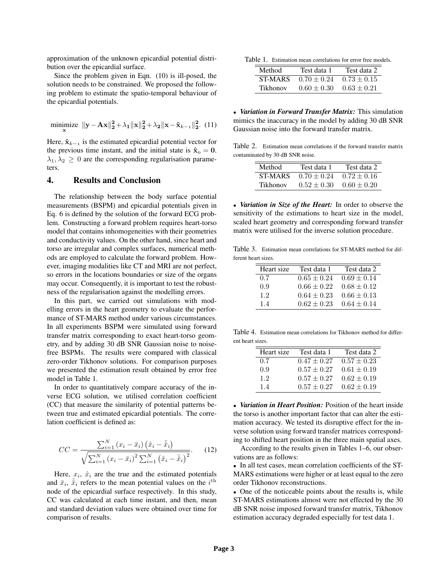approximation of the unknown epicardial potential distribution over the epicardial surface.

Since the problem given in Eqn. (10) is ill-posed, the solution needs to be constrained. We proposed the following problem to estimate the spatio-temporal behaviour of the epicardial potentials.

minimize 
$$
||\mathbf{y} - \mathbf{A}\mathbf{x}||_2^2 + \lambda_1 ||\mathbf{x}||_2^2 + \lambda_2 ||\mathbf{x} - \hat{\mathbf{x}}_{k-1}||_2^2
$$
. (11)

Here,  $\hat{\mathbf{x}}_{k-1}$  is the estimated epicardial potential vector for the previous time instant, and the initial state is  $\hat{\mathbf{x}}_0 = \mathbf{0}$ .  $\lambda_1, \lambda_2 \geq 0$  are the corresponding regularisation parameters.

## 4. Results and Conclusion

The relationship between the body surface potential measurements (BSPM) and epicardial potentials given in Eq. 6 is defined by the solution of the forward ECG problem. Constructing a forward problem requires heart-torso model that contains inhomogeneities with their geometries and conductivity values. On the other hand, since heart and torso are irregular and complex surfaces, numerical methods are employed to calculate the forward problem. However, imaging modalities like CT and MRI are not perfect, so errors in the locations boundaries or size of the organs may occur. Consequently, it is important to test the robustness of the regularisation against the modelling errors.

In this part, we carried out simulations with modelling errors in the heart geometry to evaluate the performance of ST-MARS method under various circumstances. In all experiments BSPM were simulated using forward transfer matrix corresponding to exact heart-torso geometry, and by adding 30 dB SNR Gaussian noise to noisefree BSPMs. The results were compared with classical zero-order Tikhonov solutions. For comparison purposes we presented the estimation result obtained by error free model in Table 1.

In order to quantitatively compare accuracy of the inverse ECG solution, we utilised correlation coefficient (CC) that measure the similarity of potential patterns between true and estimated epicardial potentials. The correlation coefficient is defined as:

$$
CC = \frac{\sum_{i=1}^{N} (x_i - \bar{x}_i) (\hat{x}_i - \bar{\hat{x}}_i)}{\sqrt{\sum_{i=1}^{N} (x_i - \bar{x}_i)^2 \sum_{i=1}^{N} (\hat{x}_i - \bar{\hat{x}}_i)^2}}.
$$
 (12)

Here,  $x_i$ ,  $\hat{x}_i$  are the true and the estimated potentials and  $\bar{x}_i$ ,  $\bar{\hat{x}}_i$  refers to the mean potential values on the  $i^{\text{th}}$ node of the epicardial surface respectively. In this study, CC was calculated at each time instant, and then, mean and standard deviation values were obtained over time for comparison of results.

Table 1. Estimation mean correlations for error free models.

| Method         | Test data 1     | Test data 2     |
|----------------|-----------------|-----------------|
| <b>ST-MARS</b> | $0.70 \pm 0.24$ | $0.73 \pm 0.15$ |
| Tikhonov       | $0.60 + 0.30$   | $0.63 \pm 0.21$ |

• *Variation in Forward Transfer Matrix:* This simulation mimics the inaccuracy in the model by adding 30 dB SNR Gaussian noise into the forward transfer matrix.

Table 2. Estimation mean correlations if the forward transfer matrix contaminated by 30 dB SNR noise.

| Method         | Test data 1     | Test data 2     |
|----------------|-----------------|-----------------|
| <b>ST-MARS</b> | $0.70 \pm 0.24$ | $0.72 \pm 0.16$ |
| Tikhonov       | $0.52 \pm 0.30$ | $0.60 \pm 0.20$ |

• *Variation in Size of the Heart:* In order to observe the sensitivity of the estimations to heart size in the model, scaled heart geometry and corresponding forward transfer matrix were utilised for the inverse solution procedure.

Table 3. Estimation mean correlations for ST-MARS method for different heart sizes.

| Heart size | Test data 1     | Test data 2     |
|------------|-----------------|-----------------|
| 0.7        | $0.65 \pm 0.24$ | $0.69 \pm 0.14$ |
| 0.9        | $0.66 \pm 0.22$ | $0.68 \pm 0.12$ |
| 12         | $0.64 \pm 0.23$ | $0.66 \pm 0.13$ |
| 14         | $0.62 \pm 0.23$ | $0.64 \pm 0.14$ |

Table 4. Estimation mean correlations for Tikhonov method for different heart sizes.

| Heart size | Test data 1     | Test data 2     |
|------------|-----------------|-----------------|
| 0.7        | $0.47 \pm 0.27$ | $0.57 \pm 0.23$ |
| 0.9        | $0.57 \pm 0.27$ | $0.61 \pm 0.19$ |
| 1.2        | $0.57 \pm 0.27$ | $0.62 \pm 0.19$ |
| 14         | $0.57 \pm 0.27$ | $0.62 \pm 0.19$ |

• *Variation in Heart Position:* Position of the heart inside the torso is another important factor that can alter the estimation accuracy. We tested its disruptive effect for the inverse solution using forward transfer matrices corresponding to shifted heart position in the three main spatial axes.

According to the results given in Tables 1–6, our observations are as follows:

• In all test cases, mean correlation coefficients of the ST-MARS estimations were higher or at least equal to the zero order Tikhonov reconstructions.

• One of the noticeable points about the results is, while ST-MARS estimations almost were not effected by the 30 dB SNR noise imposed forward transfer matrix, Tikhonov estimation accuracy degraded especially for test data 1.